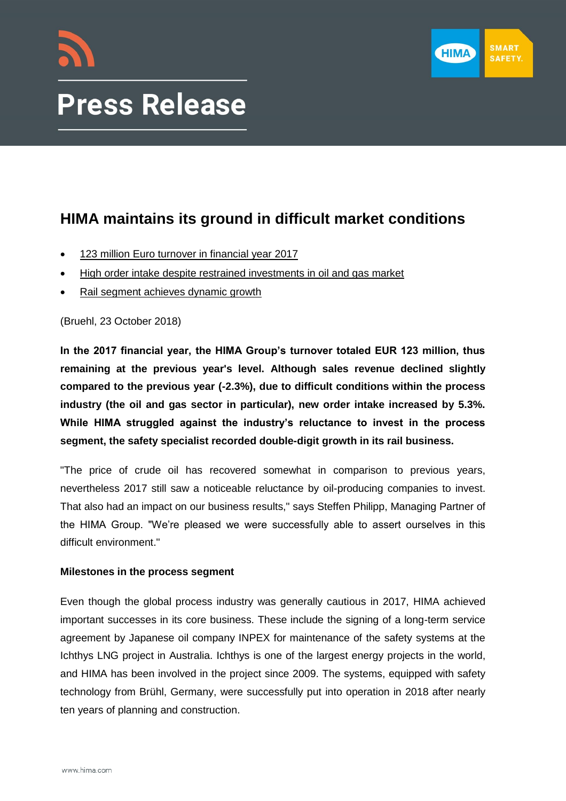



# **HIMA maintains its ground in difficult market conditions**

- 123 million Euro turnover in financial year 2017
- High order intake despite restrained investments in oil and gas market
- Rail segment achieves dynamic growth

(Bruehl, 23 October 2018)

**In the 2017 financial year, the HIMA Group's turnover totaled EUR 123 million, thus remaining at the previous year's level. Although sales revenue declined slightly compared to the previous year (-2.3%), due to difficult conditions within the process industry (the oil and gas sector in particular), new order intake increased by 5.3%. While HIMA struggled against the industry's reluctance to invest in the process segment, the safety specialist recorded double-digit growth in its rail business.**

"The price of crude oil has recovered somewhat in comparison to previous years, nevertheless 2017 still saw a noticeable reluctance by oil-producing companies to invest. That also had an impact on our business results," says Steffen Philipp, Managing Partner of the HIMA Group. "We're pleased we were successfully able to assert ourselves in this difficult environment."

# **Milestones in the process segment**

Even though the global process industry was generally cautious in 2017, HIMA achieved important successes in its core business. These include the signing of a long-term service agreement by Japanese oil company INPEX for maintenance of the safety systems at the Ichthys LNG project in Australia. Ichthys is one of the largest energy projects in the world, and HIMA has been involved in the project since 2009. The systems, equipped with safety technology from Brühl, Germany, were successfully put into operation in 2018 after nearly ten years of planning and construction.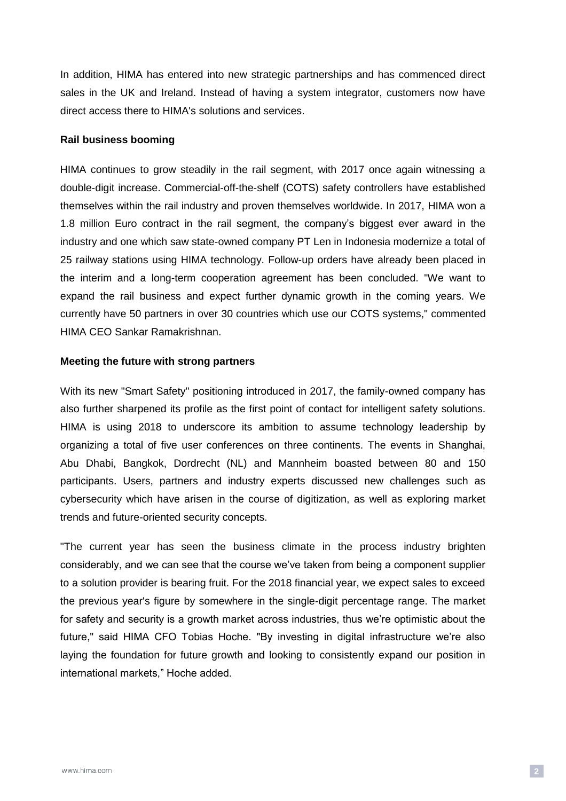In addition, HIMA has entered into new strategic partnerships and has commenced direct sales in the UK and Ireland. Instead of having a system integrator, customers now have direct access there to HIMA's solutions and services.

#### **Rail business booming**

HIMA continues to grow steadily in the rail segment, with 2017 once again witnessing a double-digit increase. Commercial-off-the-shelf (COTS) safety controllers have established themselves within the rail industry and proven themselves worldwide. In 2017, HIMA won a 1.8 million Euro contract in the rail segment, the company's biggest ever award in the industry and one which saw state-owned company PT Len in Indonesia modernize a total of 25 railway stations using HIMA technology. Follow-up orders have already been placed in the interim and a long-term cooperation agreement has been concluded. "We want to expand the rail business and expect further dynamic growth in the coming years. We currently have 50 partners in over 30 countries which use our COTS systems," commented HIMA CEO Sankar Ramakrishnan.

#### **Meeting the future with strong partners**

With its new "Smart Safety" positioning introduced in 2017, the family-owned company has also further sharpened its profile as the first point of contact for intelligent safety solutions. HIMA is using 2018 to underscore its ambition to assume technology leadership by organizing a total of five user conferences on three continents. The events in Shanghai, Abu Dhabi, Bangkok, Dordrecht (NL) and Mannheim boasted between 80 and 150 participants. Users, partners and industry experts discussed new challenges such as cybersecurity which have arisen in the course of digitization, as well as exploring market trends and future-oriented security concepts.

"The current year has seen the business climate in the process industry brighten considerably, and we can see that the course we've taken from being a component supplier to a solution provider is bearing fruit. For the 2018 financial year, we expect sales to exceed the previous year's figure by somewhere in the single-digit percentage range. The market for safety and security is a growth market across industries, thus we're optimistic about the future," said HIMA CFO Tobias Hoche. "By investing in digital infrastructure we're also laying the foundation for future growth and looking to consistently expand our position in international markets," Hoche added.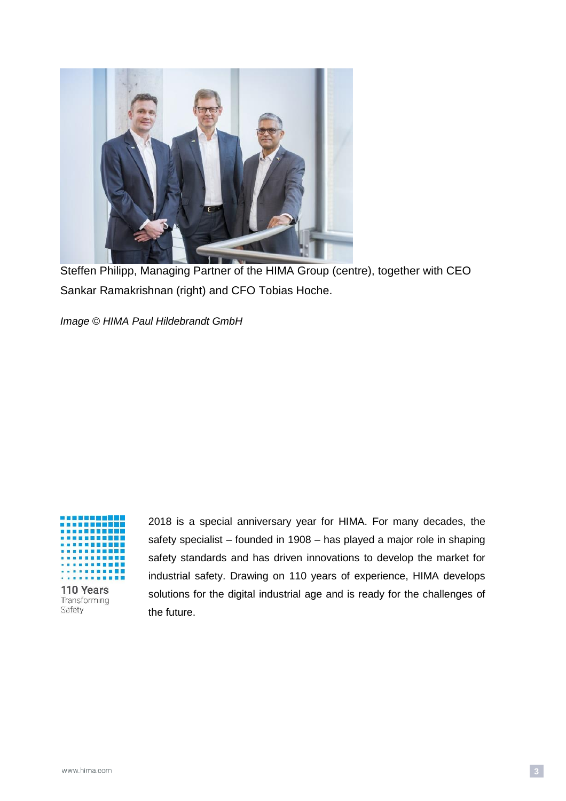

Steffen Philipp, Managing Partner of the HIMA Group (centre), together with CEO Sankar Ramakrishnan (right) and CFO Tobias Hoche.

*Image © HIMA Paul Hildebrandt GmbH*



110 Years Transforming Safety

2018 is a special anniversary year for HIMA. For many decades, the safety specialist – founded in 1908 – has played a major role in shaping safety standards and has driven innovations to develop the market for industrial safety. Drawing on 110 years of experience, HIMA develops solutions for the digital industrial age and is ready for the challenges of the future.